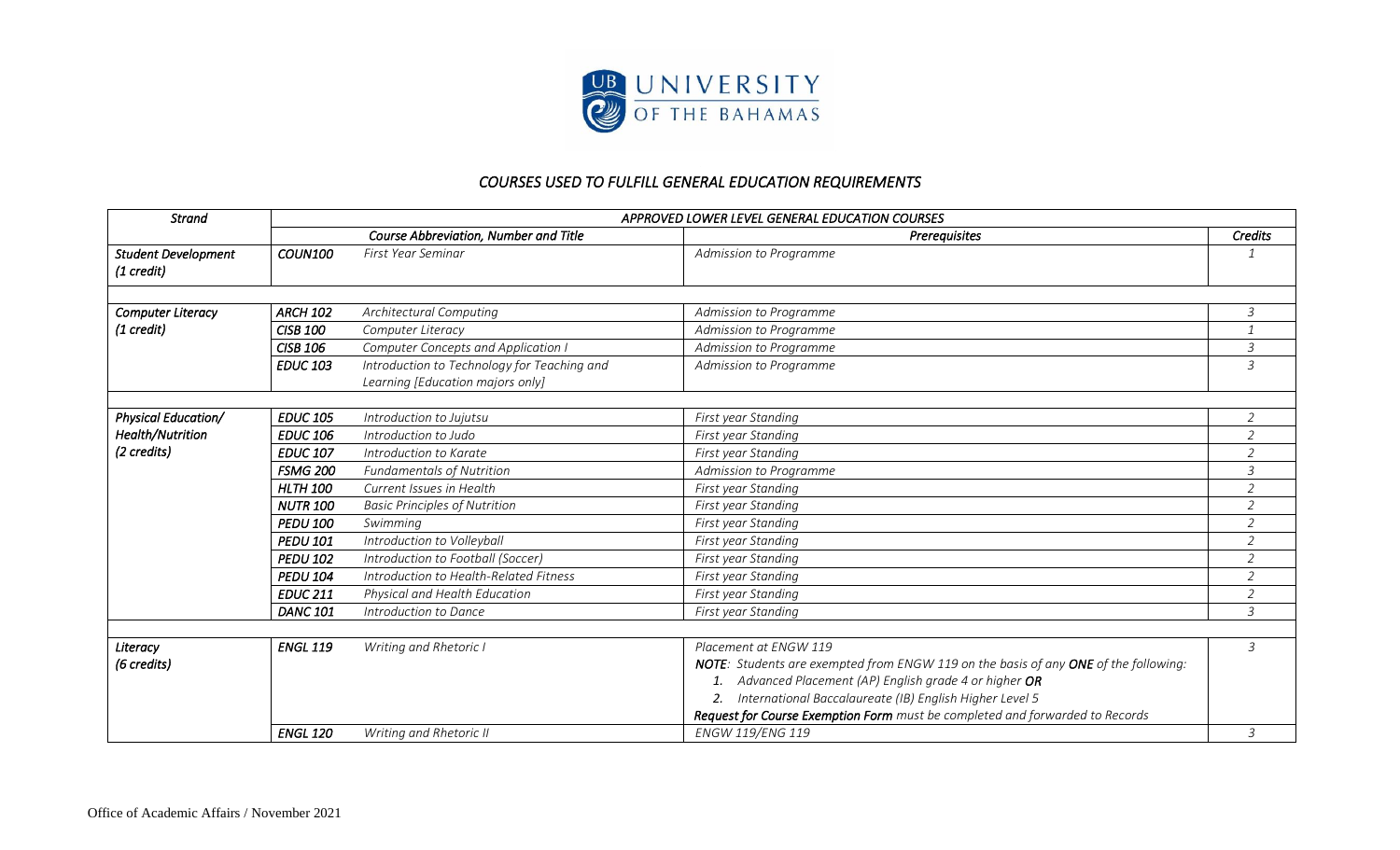

## *COURSES USED TO FULFILL GENERAL EDUCATION REQUIREMENTS*

| <b>Strand</b>                            | APPROVED LOWER LEVEL GENERAL EDUCATION COURSES |                                                                                 |                                                                                     |                |  |
|------------------------------------------|------------------------------------------------|---------------------------------------------------------------------------------|-------------------------------------------------------------------------------------|----------------|--|
|                                          |                                                | Course Abbreviation, Number and Title                                           | Prerequisites                                                                       | Credits        |  |
| <b>Student Development</b><br>(1 credit) | <b>COUN100</b>                                 | First Year Seminar                                                              | Admission to Programme                                                              |                |  |
|                                          |                                                |                                                                                 |                                                                                     |                |  |
| <b>Computer Literacy</b><br>(1 credit)   | <b>ARCH 102</b>                                | <b>Architectural Computing</b>                                                  | Admission to Programme                                                              | $\mathfrak{Z}$ |  |
|                                          | <b>CISB 100</b>                                | Computer Literacy                                                               | Admission to Programme                                                              |                |  |
|                                          | <b>CISB 106</b>                                | <b>Computer Concepts and Application I</b>                                      | Admission to Programme                                                              | 3              |  |
|                                          | <b>EDUC 103</b>                                | Introduction to Technology for Teaching and<br>Learning [Education majors only] | Admission to Programme                                                              | 3              |  |
|                                          |                                                |                                                                                 |                                                                                     |                |  |
| <b>Physical Education/</b>               | <b>EDUC 105</b>                                | Introduction to Jujutsu                                                         | First year Standing                                                                 | $\overline{2}$ |  |
| Health/Nutrition                         | <b>EDUC 106</b>                                | Introduction to Judo                                                            | First year Standing                                                                 | $\overline{2}$ |  |
| (2 credits)                              | <b>EDUC 107</b>                                | Introduction to Karate                                                          | First year Standing                                                                 | $\overline{2}$ |  |
|                                          | <b>FSMG 200</b>                                | <b>Fundamentals of Nutrition</b>                                                | Admission to Programme                                                              | 3              |  |
|                                          | <b>HLTH 100</b>                                | Current Issues in Health                                                        | First year Standing                                                                 | $\overline{2}$ |  |
|                                          | <b>NUTR 100</b>                                | <b>Basic Principles of Nutrition</b>                                            | First year Standing                                                                 | $\overline{2}$ |  |
|                                          | <b>PEDU 100</b>                                | Swimming                                                                        | First year Standing                                                                 | $\overline{2}$ |  |
|                                          | <b>PEDU 101</b>                                | Introduction to Volleyball                                                      | First year Standing                                                                 | $\overline{2}$ |  |
|                                          | <b>PEDU 102</b>                                | Introduction to Football (Soccer)                                               | First year Standing                                                                 | $\overline{a}$ |  |
|                                          | <b>PEDU 104</b>                                | Introduction to Health-Related Fitness                                          | First year Standing                                                                 | $\overline{2}$ |  |
|                                          | <b>EDUC 211</b>                                | Physical and Health Education                                                   | First year Standing                                                                 | $\overline{2}$ |  |
|                                          | <b>DANC 101</b>                                | Introduction to Dance                                                           | First year Standing                                                                 | 3              |  |
| Literacy                                 | <b>ENGL 119</b>                                | Writing and Rhetoric I                                                          | Placement at ENGW 119                                                               | $\mathfrak{Z}$ |  |
| (6 credits)                              |                                                |                                                                                 | NOTE: Students are exempted from ENGW 119 on the basis of any ONE of the following: |                |  |
|                                          |                                                |                                                                                 | 1. Advanced Placement (AP) English grade 4 or higher OR                             |                |  |
|                                          |                                                |                                                                                 | 2. International Baccalaureate (IB) English Higher Level 5                          |                |  |
|                                          |                                                |                                                                                 | Request for Course Exemption Form must be completed and forwarded to Records        |                |  |
|                                          | <b>ENGL 120</b>                                | Writing and Rhetoric II                                                         | ENGW 119/ENG 119                                                                    | 3              |  |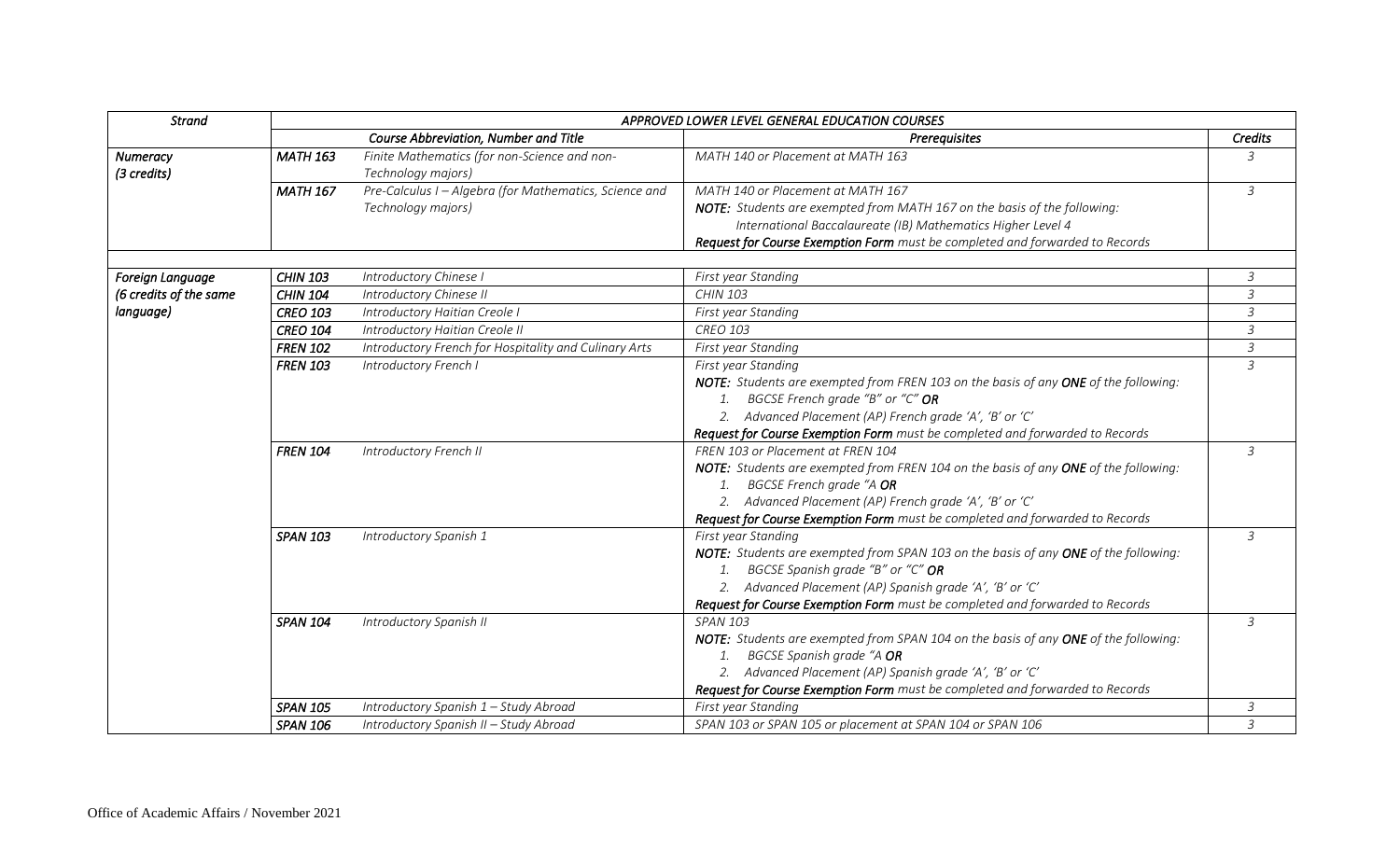| <b>Strand</b>          | APPROVED LOWER LEVEL GENERAL EDUCATION COURSES |                                                        |                                                                                     |                |  |
|------------------------|------------------------------------------------|--------------------------------------------------------|-------------------------------------------------------------------------------------|----------------|--|
|                        |                                                | Course Abbreviation, Number and Title                  | Prerequisites                                                                       | Credits        |  |
| Numeracy               | <b>MATH 163</b>                                | Finite Mathematics (for non-Science and non-           | MATH 140 or Placement at MATH 163                                                   | 3              |  |
| (3 credits)            |                                                | Technology majors)                                     |                                                                                     |                |  |
|                        | <b>MATH 167</b>                                | Pre-Calculus I - Algebra (for Mathematics, Science and | MATH 140 or Placement at MATH 167                                                   | $\mathfrak{Z}$ |  |
|                        |                                                | Technology majors)                                     | NOTE: Students are exempted from MATH 167 on the basis of the following:            |                |  |
|                        |                                                |                                                        | International Baccalaureate (IB) Mathematics Higher Level 4                         |                |  |
|                        |                                                |                                                        | Request for Course Exemption Form must be completed and forwarded to Records        |                |  |
|                        |                                                |                                                        |                                                                                     |                |  |
| Foreign Language       | <b>CHIN 103</b>                                | Introductory Chinese I                                 | First year Standing                                                                 | 3              |  |
| (6 credits of the same | <b>CHIN 104</b>                                | Introductory Chinese II                                | <b>CHIN 103</b>                                                                     | 3              |  |
| language)              | <b>CREO 103</b>                                | Introductory Haitian Creole I                          | First year Standing                                                                 | $\overline{3}$ |  |
|                        | <b>CREO 104</b>                                | Introductory Haitian Creole II                         | <b>CREO 103</b>                                                                     | 3              |  |
|                        | <b>FREN 102</b>                                | Introductory French for Hospitality and Culinary Arts  | First year Standing                                                                 | $\mathfrak{Z}$ |  |
|                        | <b>FREN 103</b>                                | Introductory French I                                  | First year Standing                                                                 | 3              |  |
|                        |                                                |                                                        | NOTE: Students are exempted from FREN 103 on the basis of any ONE of the following: |                |  |
|                        |                                                |                                                        | 1. BGCSE French grade "B" or "C" OR                                                 |                |  |
|                        |                                                |                                                        | 2. Advanced Placement (AP) French grade 'A', 'B' or 'C'                             |                |  |
|                        |                                                |                                                        | Request for Course Exemption Form must be completed and forwarded to Records        |                |  |
|                        | <b>FREN 104</b>                                | Introductory French II                                 | FREN 103 or Placement at FREN 104                                                   | $\overline{3}$ |  |
|                        |                                                |                                                        | NOTE: Students are exempted from FREN 104 on the basis of any ONE of the following: |                |  |
|                        |                                                |                                                        | BGCSE French grade "A OR<br>1.                                                      |                |  |
|                        |                                                |                                                        | 2. Advanced Placement (AP) French grade 'A', 'B' or 'C'                             |                |  |
|                        |                                                |                                                        | Request for Course Exemption Form must be completed and forwarded to Records        |                |  |
|                        | <b>SPAN 103</b>                                | Introductory Spanish 1                                 | First year Standing                                                                 | 3              |  |
|                        |                                                |                                                        | NOTE: Students are exempted from SPAN 103 on the basis of any ONE of the following: |                |  |
|                        |                                                |                                                        | 1. BGCSE Spanish grade "B" or "C" OR                                                |                |  |
|                        |                                                |                                                        | 2. Advanced Placement (AP) Spanish grade 'A', 'B' or 'C'                            |                |  |
|                        |                                                |                                                        | Request for Course Exemption Form must be completed and forwarded to Records        |                |  |
|                        | <b>SPAN 104</b>                                | Introductory Spanish II                                | <b>SPAN 103</b>                                                                     | 3              |  |
|                        |                                                |                                                        | NOTE: Students are exempted from SPAN 104 on the basis of any ONE of the following: |                |  |
|                        |                                                |                                                        | BGCSE Spanish grade "A OR                                                           |                |  |
|                        |                                                |                                                        | 2. Advanced Placement (AP) Spanish grade 'A', 'B' or 'C'                            |                |  |
|                        |                                                |                                                        | Request for Course Exemption Form must be completed and forwarded to Records        |                |  |
|                        | <b>SPAN 105</b>                                | Introductory Spanish 1 - Study Abroad                  | First year Standing                                                                 | 3              |  |
|                        | <b>SPAN 106</b>                                | Introductory Spanish II - Study Abroad                 | SPAN 103 or SPAN 105 or placement at SPAN 104 or SPAN 106                           | $\mathfrak{Z}$ |  |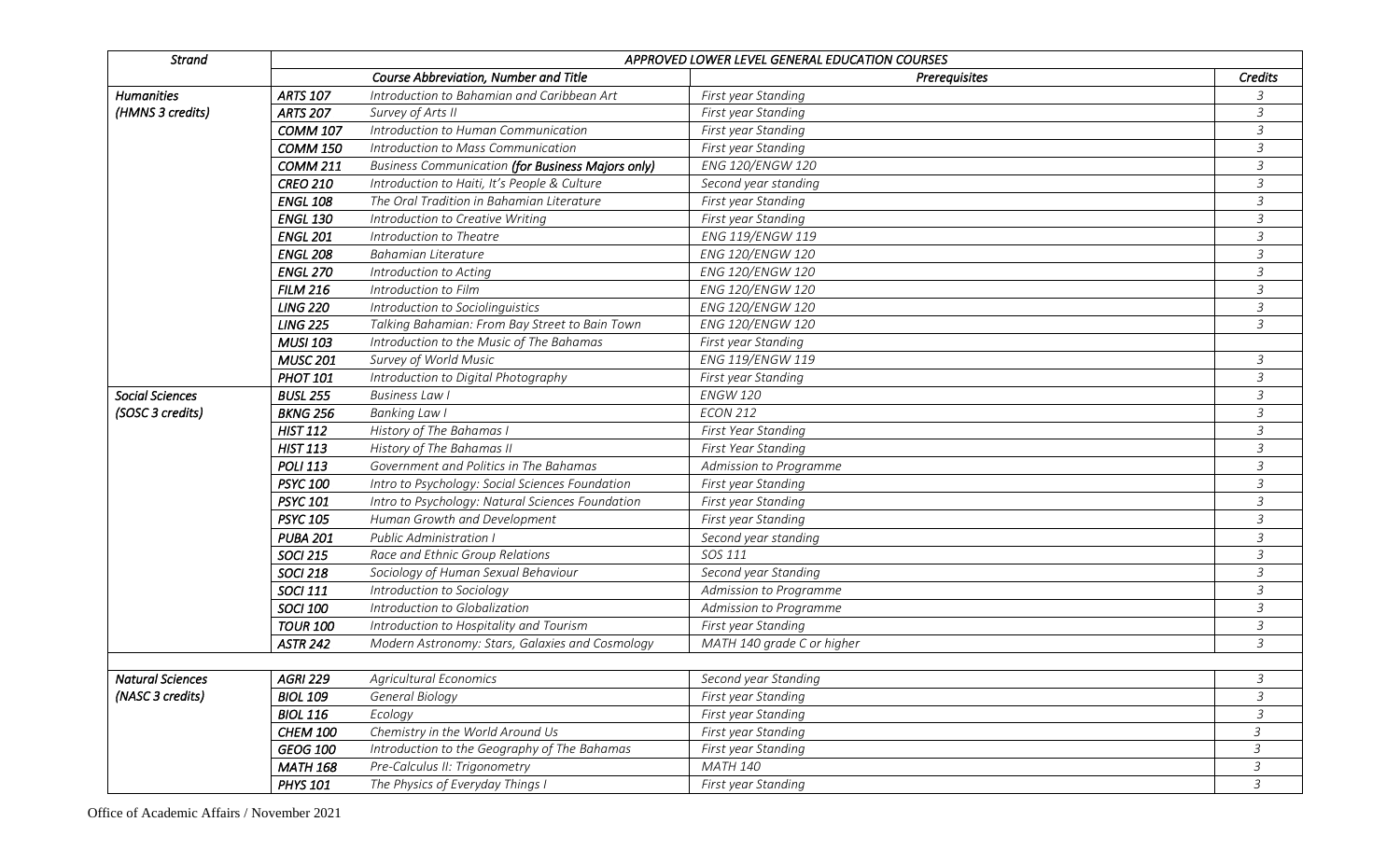| <b>Strand</b>                         | APPROVED LOWER LEVEL GENERAL EDUCATION COURSES |                                                          |                            |                |
|---------------------------------------|------------------------------------------------|----------------------------------------------------------|----------------------------|----------------|
|                                       |                                                | Course Abbreviation, Number and Title                    | Prerequisites              | Credits        |
| <b>Humanities</b><br>(HMNS 3 credits) | <b>ARTS 107</b>                                | Introduction to Bahamian and Caribbean Art               | First year Standing        | 3              |
|                                       | <b>ARTS 207</b>                                | Survey of Arts II                                        | First year Standing        | 3              |
|                                       | <b>COMM 107</b>                                | Introduction to Human Communication                      | First year Standing        | 3              |
|                                       | COMM <sub>150</sub>                            | Introduction to Mass Communication                       | First year Standing        | 3              |
|                                       | <b>COMM 211</b>                                | <b>Business Communication (for Business Majors only)</b> | ENG 120/ENGW 120           | $\overline{3}$ |
|                                       | <b>CREO 210</b>                                | Introduction to Haiti, It's People & Culture             | Second year standing       | 3              |
|                                       | <b>ENGL 108</b>                                | The Oral Tradition in Bahamian Literature                | First year Standing        | $\mathfrak{Z}$ |
|                                       | <b>ENGL 130</b>                                | Introduction to Creative Writing                         | First year Standing        | $\overline{3}$ |
|                                       | <b>ENGL 201</b>                                | Introduction to Theatre                                  | ENG 119/ENGW 119           | $\mathfrak{Z}$ |
|                                       | <b>ENGL 208</b>                                | <b>Bahamian Literature</b>                               | ENG 120/ENGW 120           | 3              |
|                                       | <b>ENGL 270</b>                                | Introduction to Acting                                   | ENG 120/ENGW 120           | $\overline{3}$ |
|                                       | <b>FILM 216</b>                                | Introduction to Film                                     | ENG 120/ENGW 120           | 3              |
|                                       | <b>LING 220</b>                                | Introduction to Sociolinguistics                         | ENG 120/ENGW 120           | 3              |
|                                       | <b>LING 225</b>                                | Talking Bahamian: From Bay Street to Bain Town           | ENG 120/ENGW 120           | $\mathfrak{Z}$ |
|                                       | <b>MUSI 103</b>                                | Introduction to the Music of The Bahamas                 | First year Standing        |                |
|                                       | <b>MUSC 201</b>                                | Survey of World Music                                    | ENG 119/ENGW 119           | 3              |
|                                       | <b>PHOT 101</b>                                | Introduction to Digital Photography                      | First year Standing        | 3              |
| <b>Social Sciences</b>                | <b>BUSL 255</b>                                | <b>Business Law I</b>                                    | <b>ENGW 120</b>            | 3              |
| (SOSC 3 credits)                      | <b>BKNG 256</b>                                | <b>Banking Law I</b>                                     | <b>ECON 212</b>            | 3              |
|                                       | <b>HIST 112</b>                                | History of The Bahamas I                                 | First Year Standing        | 3              |
|                                       | <b>HIST 113</b>                                | History of The Bahamas II                                | First Year Standing        | 3              |
|                                       | <b>POLI 113</b>                                | Government and Politics in The Bahamas                   | Admission to Programme     | $\mathfrak{Z}$ |
|                                       | <b>PSYC 100</b>                                | Intro to Psychology: Social Sciences Foundation          | First year Standing        | $\mathfrak{Z}$ |
|                                       | <b>PSYC 101</b>                                | Intro to Psychology: Natural Sciences Foundation         | First year Standing        | $\overline{3}$ |
|                                       | <b>PSYC 105</b>                                | Human Growth and Development                             | First year Standing        | $\mathfrak{Z}$ |
|                                       | <b>PUBA 201</b>                                | <b>Public Administration I</b>                           | Second year standing       | $\mathfrak{Z}$ |
|                                       | <b>SOCI 215</b>                                | Race and Ethnic Group Relations                          | SOS 111                    | $\mathfrak{Z}$ |
|                                       | <b>SOCI 218</b>                                | Sociology of Human Sexual Behaviour                      | Second year Standing       | 3              |
|                                       | <b>SOCI 111</b>                                | Introduction to Sociology                                | Admission to Programme     | 3              |
|                                       | <b>SOCI 100</b>                                | Introduction to Globalization                            | Admission to Programme     | 3              |
|                                       | <b>TOUR 100</b>                                | Introduction to Hospitality and Tourism                  | First year Standing        | $\mathfrak{Z}$ |
|                                       | <b>ASTR 242</b>                                | Modern Astronomy: Stars, Galaxies and Cosmology          | MATH 140 grade C or higher | 3              |
|                                       |                                                |                                                          |                            |                |
| <b>Natural Sciences</b>               | <b>AGRI 229</b>                                | <b>Agricultural Economics</b>                            | Second year Standing       | 3              |
| (NASC 3 credits)                      | <b>BIOL 109</b>                                | General Biology                                          | First year Standing        | $\mathfrak{Z}$ |
|                                       | <b>BIOL 116</b>                                | Ecology                                                  | First year Standing        | 3              |
|                                       | <b>CHEM 100</b>                                | Chemistry in the World Around Us                         | First year Standing        | $\mathfrak{Z}$ |
|                                       | GEOG 100                                       | Introduction to the Geography of The Bahamas             | First year Standing        | 3              |
|                                       | <b>MATH 168</b>                                | Pre-Calculus II: Trigonometry                            | MATH 140                   | 3              |
|                                       | <b>PHYS 101</b>                                | The Physics of Everyday Things I                         | First year Standing        | 3              |